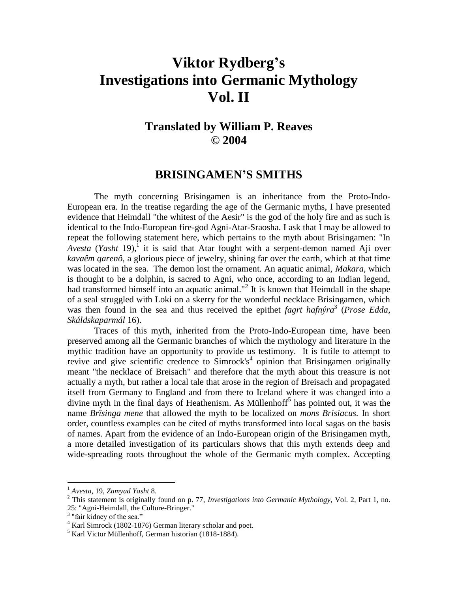## **Viktor Rydberg's Investigations into Germanic Mythology Vol. II**

## **Translated by William P. Reaves © 2004**

## **BRISINGAMEN'S SMITHS**

The myth concerning Brisingamen is an inheritance from the Proto-Indo-European era. In the treatise regarding the age of the Germanic myths, I have presented evidence that Heimdall "the whitest of the Aesir" is the god of the holy fire and as such is identical to the Indo-European fire-god Agni-Atar-Sraosha. I ask that I may be allowed to repeat the following statement here, which pertains to the myth about Brisingamen: "In  $Avesta$  (*Yasht* 19),<sup> $\Gamma$ </sup> it is said that Atar fought with a serpent-demon named Aji over *kavaêm qarenô*, a glorious piece of jewelry, shining far over the earth, which at that time was located in the sea. The demon lost the ornament. An aquatic animal, *Makara,* which is thought to be a dolphin, is sacred to Agni, who once, according to an Indian legend, had transformed himself into an aquatic animal."<sup>2</sup> It is known that Heimdall in the shape of a seal struggled with Loki on a skerry for the wonderful necklace Brisingamen, which was then found in the sea and thus received the epithet *fagrt hafnýra*<sup>3</sup> (*Prose Edda*, *Skáldskaparmál* 16).

Traces of this myth, inherited from the Proto-Indo-European time, have been preserved among all the Germanic branches of which the mythology and literature in the mythic tradition have an opportunity to provide us testimony. It is futile to attempt to revive and give scientific credence to Simrock's<sup>4</sup> opinion that Brisingamen originally meant "the necklace of Breisach" and therefore that the myth about this treasure is not actually a myth, but rather a local tale that arose in the region of Breisach and propagated itself from Germany to England and from there to Iceland where it was changed into a divine myth in the final days of Heathenism. As Müllenhoff<sup>5</sup> has pointed out, it was the name *Brîsinga mene* that allowed the myth to be localized on *mons Brisiacus.* In short order, countless examples can be cited of myths transformed into local sagas on the basis of names. Apart from the evidence of an Indo-European origin of the Brisingamen myth, a more detailed investigation of its particulars shows that this myth extends deep and wide-spreading roots throughout the whole of the Germanic myth complex. Accepting

<sup>1</sup> *Avesta*, 19, *Zamyad Yasht* 8.

<sup>2</sup> This statement is originally found on p. 77, *Investigations into Germanic Mythology*, Vol. 2, Part 1, no. 25: "Agni-Heimdall, the Culture-Bringer." 3 "fair kidney of the sea."

<sup>&</sup>lt;sup>4</sup> Karl Simrock (1802-1876) German literary scholar and poet.

<sup>5</sup> Karl Victor Müllenhoff, German historian (1818-1884).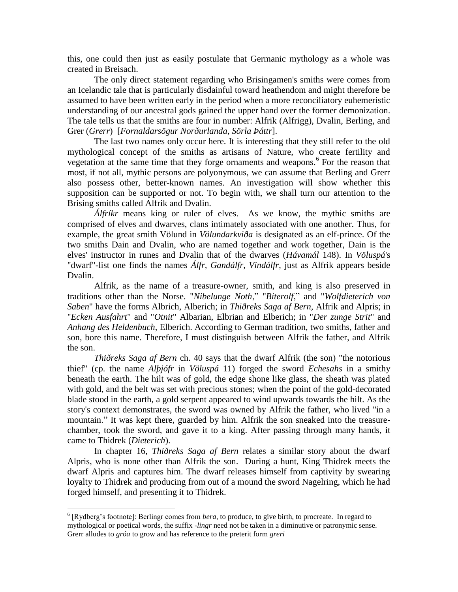this, one could then just as easily postulate that Germanic mythology as a whole was created in Breisach.

The only direct statement regarding who Brisingamen's smiths were comes from an Icelandic tale that is particularly disdainful toward heathendom and might therefore be assumed to have been written early in the period when a more reconciliatory euhemeristic understanding of our ancestral gods gained the upper hand over the former demonization. The tale tells us that the smiths are four in number: Alfrik (Alfrigg), Dvalin, Berling, and Grer (*Grerr*) [*Fornaldarsögur Norðurlanda*, *Sörla Þáttr*].

The last two names only occur here. It is interesting that they still refer to the old mythological concept of the smiths as artisans of Nature, who create fertility and vegetation at the same time that they forge ornaments and weapons.<sup>6</sup> For the reason that most, if not all, mythic persons are polyonymous, we can assume that Berling and Grerr also possess other, better-known names. An investigation will show whether this supposition can be supported or not. To begin with, we shall turn our attention to the Brising smiths called Alfrik and Dvalin.

*Álfríkr* means king or ruler of elves. As we know, the mythic smiths are comprised of elves and dwarves, clans intimately associated with one another. Thus, for example, the great smith Völund in *Völundarkviða* is designated as an elf-prince. Of the two smiths Dain and Dvalin, who are named together and work together, Dain is the elves' instructor in runes and Dvalin that of the dwarves (*Hávamál* 148). In *Völuspá*'s "dwarf"-list one finds the names *Álfr, Gandálfr, Vindálfr*, just as Alfrik appears beside Dvalin.

Alfrik, as the name of a treasure-owner, smith, and king is also preserved in traditions other than the Norse. "*Nibelunge Noth*," "*Biterolf*," and "*Wolfdieterich von Saben*" have the forms Albrich, Alberich; in *Thiðreks Saga af Bern,* Alfrik and Alpris; in "*Ecken Ausfahrt*" and "*Otnit*" Albarian, Elbrian and Elberich; in "*Der zunge Strit*" and *Anhang des Heldenbuch*, Elberich. According to German tradition, two smiths, father and son, bore this name. Therefore, I must distinguish between Alfrik the father, and Alfrik the son.

*Thiðreks Saga af Bern* ch. 40 says that the dwarf Alfrik (the son) "the notorious thief" (cp. the name *Alþjófr* in *Völuspá* 11) forged the sword *Echesahs* in a smithy beneath the earth. The hilt was of gold, the edge shone like glass, the sheath was plated with gold, and the belt was set with precious stones; when the point of the gold-decorated blade stood in the earth, a gold serpent appeared to wind upwards towards the hilt. As the story's context demonstrates, the sword was owned by Alfrik the father, who lived "in a mountain." It was kept there, guarded by him. Alfrik the son sneaked into the treasurechamber, took the sword, and gave it to a king. After passing through many hands, it came to Thidrek (*Dieterich*).

In chapter 16, *Thiðreks Saga af Bern* relates a similar story about the dwarf Alpris, who is none other than Alfrik the son. During a hunt, King Thidrek meets the dwarf Alpris and captures him. The dwarf releases himself from captivity by swearing loyalty to Thidrek and producing from out of a mound the sword Nagelring, which he had forged himself, and presenting it to Thidrek.

<sup>&</sup>lt;sup>6</sup> [Rydberg's footnote]: Berlingr comes from *bera*, to produce, to give birth, to procreate. In regard to mythological or poetical words, the suffix *-lingr* need not be taken in a diminutive or patronymic sense. Grerr alludes to *gróa* to grow and has reference to the preterit form *greri*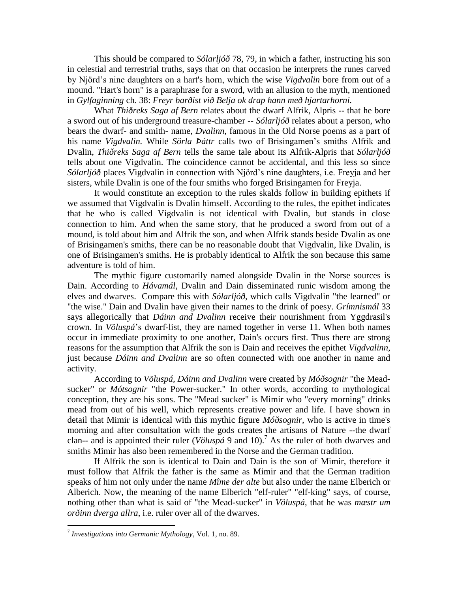This should be compared to *Sólarljóð* 78, 79, in which a father, instructing his son in celestial and terrestrial truths, says that on that occasion he interprets the runes carved by Njörd's nine daughters on a hart's horn, which the wise *Vigdvalin* bore from out of a mound. "Hart's horn" is a paraphrase for a sword, with an allusion to the myth, mentioned in *Gylfaginning* ch. 38: *Freyr barðist við Belja ok drap hann með hjartarhorni.*

What *Thiðreks Saga af Bern* relates about the dwarf Alfrik, Alpris -- that he bore a sword out of his underground treasure-chamber -- *Sólarljóð* relates about a person, who bears the dwarf- and smith- name, *Dvalinn,* famous in the Old Norse poems as a part of his name *Vigdvalin.* While *Sörla Þáttr* calls two of Brisingamen's smiths Alfrik and Dvalin, *Thiðreks Saga af Bern* tells the same tale about its Alfrik-Alpris that *Sólarljóð* tells about one Vigdvalin. The coincidence cannot be accidental, and this less so since *Sólarljóð* places Vigdvalin in connection with Njörd's nine daughters, i.e. Freyja and her sisters, while Dvalin is one of the four smiths who forged Brisingamen for Freyja.

It would constitute an exception to the rules skalds follow in building epithets if we assumed that Vigdvalin is Dvalin himself. According to the rules, the epithet indicates that he who is called Vigdvalin is not identical with Dvalin, but stands in close connection to him. And when the same story, that he produced a sword from out of a mound, is told about him and Alfrik the son, and when Alfrik stands beside Dvalin as one of Brisingamen's smiths, there can be no reasonable doubt that Vigdvalin, like Dvalin, is one of Brisingamen's smiths. He is probably identical to Alfrik the son because this same adventure is told of him.

The mythic figure customarily named alongside Dvalin in the Norse sources is Dain. According to *Hávamál*, Dvalin and Dain disseminated runic wisdom among the elves and dwarves. Compare this with *Sólarljóð*, which calls Vigdvalin "the learned" or "the wise." Dain and Dvalin have given their names to the drink of poesy. *Grímnismál* 33 says allegorically that *Dáinn and Dvalinn* receive their nourishment from Yggdrasil's crown. In *Völuspá*'s dwarf-list, they are named together in verse 11. When both names occur in immediate proximity to one another, Dain's occurs first. Thus there are strong reasons for the assumption that Alfrik the son is Dain and receives the epithet *Vigdvalinn*, just because *Dáinn and Dvalinn* are so often connected with one another in name and activity.

According to *Völuspá, Dáinn and Dvalinn* were created by *Móðsognir* "the Meadsucker" or *Mótsognir* "the Power-sucker." In other words, according to mythological conception, they are his sons. The "Mead sucker" is Mimir who "every morning" drinks mead from out of his well, which represents creative power and life. I have shown in detail that Mimir is identical with this mythic figure *Móðsognir*, who is active in time's morning and after consultation with the gods creates the artisans of Nature --the dwarf clan-- and is appointed their ruler (*Völuspá* 9 and 10).<sup>7</sup> As the ruler of both dwarves and smiths Mimir has also been remembered in the Norse and the German tradition.

If Alfrik the son is identical to Dain and Dain is the son of Mimir, therefore it must follow that Alfrik the father is the same as Mimir and that the German tradition speaks of him not only under the name *Mîme der alte* but also under the name Elberich or Alberich. Now, the meaning of the name Elberich "elf-ruler" "elf-king" says, of course, nothing other than what is said of "the Mead-sucker" in *Völuspá*, that he was *mæstr um orðinn dverga allra*, i.e. ruler over all of the dwarves.

<sup>7</sup> *Investigations into Germanic Mythology*, Vol. 1, no. 89.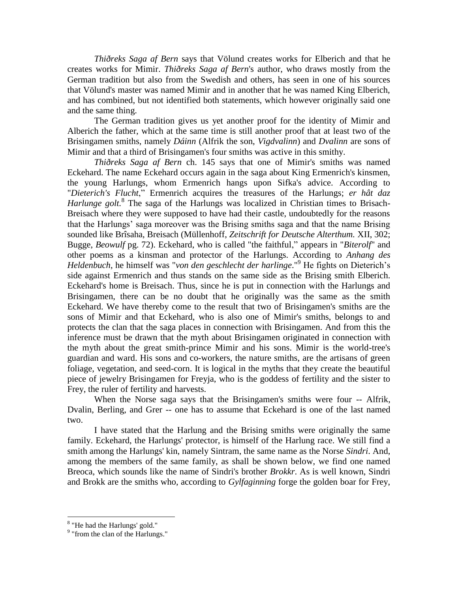*Thiðreks Saga af Bern* says that Völund creates works for Elberich and that he creates works for Mimir. *Thiðreks Saga af Bern*'s author, who draws mostly from the German tradition but also from the Swedish and others, has seen in one of his sources that Völund's master was named Mimir and in another that he was named King Elberich, and has combined, but not identified both statements, which however originally said one and the same thing.

The German tradition gives us yet another proof for the identity of Mimir and Alberich the father, which at the same time is still another proof that at least two of the Brisingamen smiths, namely *Dáinn* (Alfrik the son, *Vigdvalinn*) and *Dvalinn* are sons of Mimir and that a third of Brisingamen's four smiths was active in this smithy.

*Thiðreks Saga af Bern* ch. 145 says that one of Mimir's smiths was named Eckehard. The name Eckehard occurs again in the saga about King Ermenrich's kinsmen, the young Harlungs, whom Ermenrich hangs upon Sifka's advice. According to "*Dieterich's Flucht*," Ermenrich acquires the treasures of the Harlungs; *er hât daz*  Harlunge golt.<sup>8</sup> The saga of the Harlungs was localized in Christian times to Brisach-Breisach where they were supposed to have had their castle, undoubtedly for the reasons that the Harlungs' saga moreover was the Brising smiths saga and that the name Brising sounded like Brîsaha, Breisach (Müllenhoff, *Zeitschrift for Deutsche Alterthum.* XII, 302; Bugge, *Beowulf* pg. 72). Eckehard, who is called "the faithful," appears in "*Biterolf*" and other poems as a kinsman and protector of the Harlungs. According to *Anhang des Heldenbuch*, he himself was "*von den geschlecht der harlinge*."<sup>9</sup> He fights on Dieterich's side against Ermenrich and thus stands on the same side as the Brising smith Elberich. Eckehard's home is Breisach. Thus, since he is put in connection with the Harlungs and Brisingamen, there can be no doubt that he originally was the same as the smith Eckehard. We have thereby come to the result that two of Brisingamen's smiths are the sons of Mimir and that Eckehard, who is also one of Mimir's smiths, belongs to and protects the clan that the saga places in connection with Brisingamen. And from this the inference must be drawn that the myth about Brisingamen originated in connection with the myth about the great smith-prince Mimir and his sons. Mimir is the world-tree's guardian and ward. His sons and co-workers, the nature smiths, are the artisans of green foliage, vegetation, and seed-corn. It is logical in the myths that they create the beautiful piece of jewelry Brisingamen for Freyja, who is the goddess of fertility and the sister to Frey, the ruler of fertility and harvests.

When the Norse saga says that the Brisingamen's smiths were four -- Alfrik, Dvalin, Berling, and Grer -- one has to assume that Eckehard is one of the last named two.

I have stated that the Harlung and the Brising smiths were originally the same family. Eckehard, the Harlungs' protector, is himself of the Harlung race. We still find a smith among the Harlungs' kin, namely Sintram, the same name as the Norse *Sindri*. And, among the members of the same family, as shall be shown below, we find one named Breoca, which sounds like the name of Sindri's brother *Brokkr*. As is well known, Sindri and Brokk are the smiths who, according to *Gylfaginning* forge the golden boar for Frey,

<sup>&</sup>lt;sup>8</sup> "He had the Harlungs' gold."

<sup>&</sup>lt;sup>9</sup> "from the clan of the Harlungs."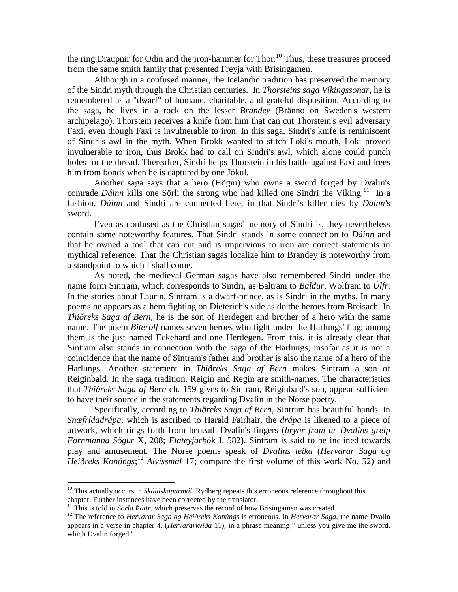the ring Draupnir for Odin and the iron-hammer for Thor.<sup>10</sup> Thus, these treasures proceed from the same smith family that presented Freyja with Brisingamen.

Although in a confused manner, the Icelandic tradition has preserved the memory of the Sindri myth through the Christian centuries. In *Thorsteins saga Víkingssonar*, he is remembered as a "dwarf" of humane, charitable, and grateful disposition. According to the saga, he lives in a rock on the lesser *Brandey* (Bränno on Sweden's western archipelago). Thorstein receives a knife from him that can cut Thorstein's evil adversary Faxi, even though Faxi is invulnerable to iron. In this saga, Sindri's knife is reminiscent of Sindri's awl in the myth. When Brokk wanted to stitch Loki's mouth, Loki proved invulnerable to iron, thus Brokk had to call on Sindri's awl, which alone could punch holes for the thread. Thereafter, Sindri helps Thorstein in his battle against Faxi and frees him from bonds when he is captured by one Jökul.

Another saga says that a hero (Högni) who owns a sword forged by Dvalin's comrade *Dáinn* kills one Sörli the strong who had killed one Sindri the Viking.<sup>11</sup> In a fashion, *Dáinn* and Sindri are connected here, in that Sindri's killer dies by *Dáinn'*s sword.

Even as confused as the Christian sagas' memory of Sindri is, they nevertheless contain some noteworthy features. That Sindri stands in some connection to *Dáinn* and that he owned a tool that can cut and is impervious to iron are correct statements in mythical reference. That the Christian sagas localize him to Brandey is noteworthy from a standpoint to which I shall come.

As noted, the medieval German sagas have also remembered Sindri under the name form Sintram, which corresponds to Sindri, as Baltram to *Baldur*, Wolfram to *Úlfr*. In the stories about Laurin, Sintram is a dwarf-prince, as is Sindri in the myths. In many poems he appears as a hero fighting on Dieterich's side as do the heroes from Breisach. In *Thiðreks Saga af Bern,* he is the son of Herdegen and brother of a hero with the same name. The poem *Biterolf* names seven heroes who fight under the Harlungs' flag; among them is the just named Eckehard and one Herdegen. From this, it is already clear that Sintram also stands in connection with the saga of the Harlungs, insofar as it is not a coincidence that the name of Sintram's father and brother is also the name of a hero of the Harlungs. Another statement in *Thiðreks Saga af Bern* makes Sintram a son of Reiginbald. In the saga tradition, Reigin and Regin are smith-names. The characteristics that *Thiðreks Saga af Bern* ch. 159 gives to Sintram, Reiginbald's son, appear sufficient to have their source in the statements regarding Dvalin in the Norse poetry.

Specifically, according to *Thiðreks Saga af Bern*, Sintram has beautiful hands. In *Snæfrídadrápa,* which is ascribed to Harald Fairhair, the *drápa* is likened to a piece of artwork, which rings forth from beneath Dvalin's fingers (*hrynr fram ur Dvalins greip Fornmanna Sögur* X, 208; *Flateyjarbó*k I. 582). Sintram is said to be inclined towards play and amusement. The Norse poems speak of *Dvalins leika* (*Hervarar Saga og Heiðreks Konúngs*; <sup>12</sup> *Alvíssmál* 17; compare the first volume of this work No. 52) and

<sup>10</sup> This actually occurs in *Skáldskaparmál*. Rydberg repeats this erroneous reference throughout this chapter. Further instances have been corrected by the translator.

<sup>&</sup>lt;sup>11</sup> This is told in *Sörla Þáttr*, which preserves the record of how Brisingamen was created.

<sup>12</sup> The reference to *Hervarar Saga og Heiðreks Konúngs* is erroneous. In *Hervarar Saga*, the name Dvalin appears in a verse in chapter 4, (*Hervararkviða* 11), in a phrase meaning " unless you give me the sword, which Dvalin forged."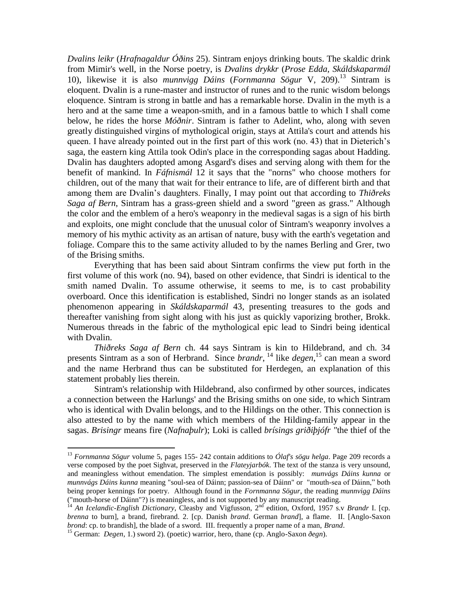*Dvalins leikr* (*Hrafnagaldur Óðins* 25). Sintram enjoys drinking bouts. The skaldic drink from Mimir's well, in the Norse poetry, is *Dvalins drykkr* (*Prose Edda, Skáldskaparmál* 10), likewise it is also *munnvigg Dáins* (*Fornmanna Sögur* V, 209).<sup>13</sup> Sintram is eloquent. Dvalin is a rune-master and instructor of runes and to the runic wisdom belongs eloquence. Sintram is strong in battle and has a remarkable horse. Dvalin in the myth is a hero and at the same time a weapon-smith, and in a famous battle to which I shall come below, he rides the horse *Móðnir*. Sintram is father to Adelint, who, along with seven greatly distinguished virgins of mythological origin, stays at Attila's court and attends his queen. I have already pointed out in the first part of this work (no. 43) that in Dieterich's saga, the eastern king Attila took Odin's place in the corresponding sagas about Hadding. Dvalin has daughters adopted among Asgard's dises and serving along with them for the benefit of mankind. In *Fáfnismál* 12 it says that the "norns" who choose mothers for children, out of the many that wait for their entrance to life, are of different birth and that among them are Dvalin's daughters. Finally, I may point out that according to *Thiðreks Saga af Bern*, Sintram has a grass-green shield and a sword "green as grass." Although the color and the emblem of a hero's weaponry in the medieval sagas is a sign of his birth and exploits, one might conclude that the unusual color of Sintram's weaponry involves a memory of his mythic activity as an artisan of nature, busy with the earth's vegetation and foliage. Compare this to the same activity alluded to by the names Berling and Grer, two of the Brising smiths.

Everything that has been said about Sintram confirms the view put forth in the first volume of this work (no. 94), based on other evidence, that Sindri is identical to the smith named Dvalin. To assume otherwise, it seems to me, is to cast probability overboard. Once this identification is established, Sindri no longer stands as an isolated phenomenon appearing in *Skáldskaparmál* 43, presenting treasures to the gods and thereafter vanishing from sight along with his just as quickly vaporizing brother, Brokk. Numerous threads in the fabric of the mythological epic lead to Sindri being identical with Dvalin.

*Thiðreks Saga af Bern* ch. 44 says Sintram is kin to Hildebrand, and ch. 34 presents Sintram as a son of Herbrand. Since *brandr*, <sup>14</sup> like *degen*, <sup>15</sup> can mean a sword and the name Herbrand thus can be substituted for Herdegen, an explanation of this statement probably lies therein.

Sintram's relationship with Hildebrand, also confirmed by other sources, indicates a connection between the Harlungs' and the Brising smiths on one side, to which Sintram who is identical with Dvalin belongs, and to the Hildings on the other. This connection is also attested to by the name with which members of the Hilding-family appear in the sagas. *Brisingr* means fire (*Nafnaþulr*); Loki is called *brísings griðiþjófr "*the thief of the

<sup>13</sup> *Fornmanna Sögur* volume 5, pages 155- 242 contain additions to *Ólaf's sögu helga*. Page 209 records a verse composed by the poet Sighvat, preserved in the *Flateyjarbók*. The text of the stanza is very unsound, and meaningless without emendation. The simplest emendation is possibly: *munvágs Dáins kunna* or *munnvágs Dáins kunna* meaning "soul-sea of Dáinn; passion-sea of Dáinn" or "mouth-sea of Dáinn," both being proper kennings for poetry. Although found in the *Fornmanna Sögur*, the reading *munnvigg Dáins* ("mouth-horse of Dáinn"?) is meaningless, and is not supported by any manuscript reading.

<sup>&</sup>lt;sup>14</sup> An Icelandic-English Dictionary, Cleasby and Vigfusson, 2<sup>nd</sup> edition, Oxford, 1957 s.v *Brandr* I. [cp. *brenna* to burn], a brand, firebrand. 2. [cp. Danish *brand*. German *brand*], a flame. II. [Anglo-Saxon *brond*: cp. to brandish], the blade of a sword. III. frequently a proper name of a man, *Brand*.

<sup>15</sup> German: *Degen*, 1.) sword 2). (poetic) warrior, hero, thane (cp. Anglo-Saxon *ðegn*).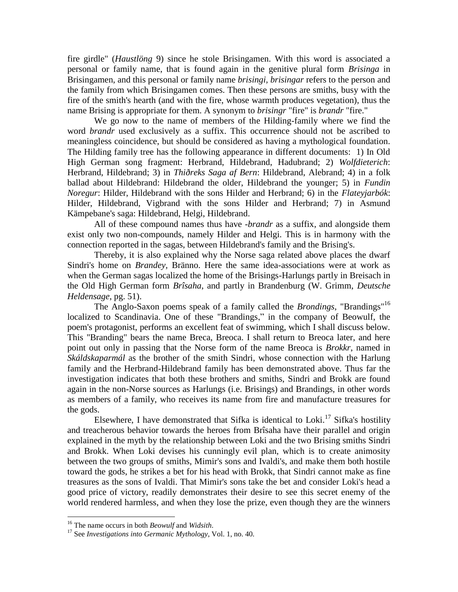fire girdle" (*Haustlöng* 9) since he stole Brisingamen. With this word is associated a personal or family name, that is found again in the genitive plural form *Brisinga* in Brisingamen, and this personal or family name *brisingi, brisingar* refers to the person and the family from which Brisingamen comes. Then these persons are smiths, busy with the fire of the smith's hearth (and with the fire, whose warmth produces vegetation), thus the name Brising is appropriate for them. A synonym to *brisingr* "fire" is *brandr* "fire."

We go now to the name of members of the Hilding-family where we find the word *brandr* used exclusively as a suffix. This occurrence should not be ascribed to meaningless coincidence, but should be considered as having a mythological foundation. The Hilding family tree has the following appearance in different documents: 1) In Old High German song fragment: Herbrand, Hildebrand, Hadubrand; 2) *Wolfdieterich*: Herbrand, Hildebrand; 3) in *Thiðreks Saga af Bern*: Hildebrand, Alebrand; 4) in a folk ballad about Hildebrand: Hildebrand the older, Hildebrand the younger; 5) in *Fundin Noregur*: Hilder, Hildebrand with the sons Hilder and Herbrand; 6) in the *Flateyjarbók*: Hilder, Hildebrand, Vigbrand with the sons Hilder and Herbrand; 7) in Asmund Kämpebane's saga: Hildebrand, Helgi, Hildebrand.

All of these compound names thus have -*brandr* as a suffix, and alongside them exist only two non-compounds, namely Hilder and Helgi. This is in harmony with the connection reported in the sagas, between Hildebrand's family and the Brising's.

Thereby, it is also explained why the Norse saga related above places the dwarf Sindri's home on *Brandey,* Bränno. Here the same idea-associations were at work as when the German sagas localized the home of the Brisings-Harlungs partly in Breisach in the Old High German form *Brîsaha*, and partly in Brandenburg (W. Grimm, *Deutsche Heldensage*, pg. 51).

The Anglo-Saxon poems speak of a family called the *Brondings*, "Brandings"<sup>16</sup> localized to Scandinavia. One of these "Brandings," in the company of Beowulf, the poem's protagonist, performs an excellent feat of swimming, which I shall discuss below. This "Branding" bears the name Breca, Breoca. I shall return to Breoca later, and here point out only in passing that the Norse form of the name Breoca is *Brokkr*, named in *Skáldskaparmál* as the brother of the smith Sindri, whose connection with the Harlung family and the Herbrand-Hildebrand family has been demonstrated above. Thus far the investigation indicates that both these brothers and smiths, Sindri and Brokk are found again in the non-Norse sources as Harlungs (i.e. Brisings) and Brandings, in other words as members of a family, who receives its name from fire and manufacture treasures for the gods.

Elsewhere, I have demonstrated that Sifka is identical to Loki.<sup>17</sup> Sifka's hostility and treacherous behavior towards the heroes from Brîsaha have their parallel and origin explained in the myth by the relationship between Loki and the two Brising smiths Sindri and Brokk. When Loki devises his cunningly evil plan, which is to create animosity between the two groups of smiths, Mimir's sons and Ivaldi's, and make them both hostile toward the gods, he strikes a bet for his head with Brokk, that Sindri cannot make as fine treasures as the sons of Ivaldi. That Mimir's sons take the bet and consider Loki's head a good price of victory, readily demonstrates their desire to see this secret enemy of the world rendered harmless, and when they lose the prize, even though they are the winners

<sup>16</sup> The name occurs in both *Beowulf* and *Widsith*.

<sup>17</sup> See *Investigations into Germanic Mythology*, Vol. 1, no. 40.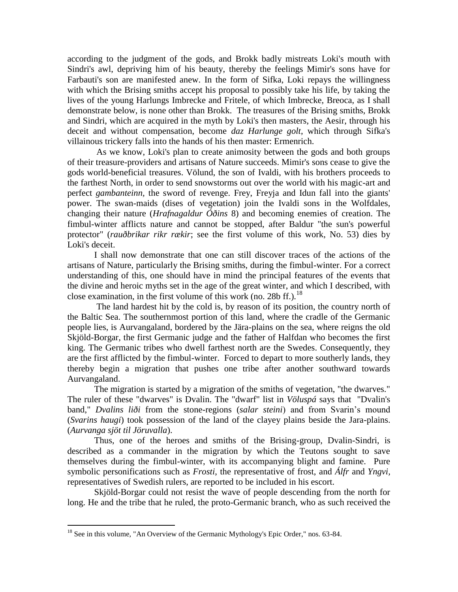according to the judgment of the gods, and Brokk badly mistreats Loki's mouth with Sindri's awl, depriving him of his beauty, thereby the feelings Mimir's sons have for Farbauti's son are manifested anew. In the form of Sifka, Loki repays the willingness with which the Brising smiths accept his proposal to possibly take his life, by taking the lives of the young Harlungs Imbrecke and Fritele, of which Imbrecke, Breoca, as I shall demonstrate below, is none other than Brokk. The treasures of the Brising smiths, Brokk and Sindri, which are acquired in the myth by Loki's then masters, the Aesir, through his deceit and without compensation, become *daz Harlunge golt*, which through Sifka's villainous trickery falls into the hands of his then master: Ermenrich.

As we know, Loki's plan to create animosity between the gods and both groups of their treasure-providers and artisans of Nature succeeds. Mimir's sons cease to give the gods world-beneficial treasures. Völund, the son of Ivaldi, with his brothers proceeds to the farthest North, in order to send snowstorms out over the world with his magic-art and perfect *gambanteinn,* the sword of revenge. Frey, Freyja and Idun fall into the giants' power. The swan-maids (dises of vegetation) join the Ivaldi sons in the Wolfdales, changing their nature (*Hrafnagaldur Óðins* 8) and becoming enemies of creation. The fimbul-winter afflicts nature and cannot be stopped, after Baldur "the sun's powerful protector" (*rauðbrikar rikr rækir*; see the first volume of this work, No. 53) dies by Loki's deceit.

I shall now demonstrate that one can still discover traces of the actions of the artisans of Nature, particularly the Brising smiths, during the fimbul-winter. For a correct understanding of this, one should have in mind the principal features of the events that the divine and heroic myths set in the age of the great winter, and which I described, with close examination, in the first volume of this work (no. 28b ff.).<sup>18</sup>

The land hardest hit by the cold is, by reason of its position, the country north of the Baltic Sea. The southernmost portion of this land, where the cradle of the Germanic people lies, is Aurvangaland, bordered by the Jära-plains on the sea, where reigns the old Skjöld-Borgar, the first Germanic judge and the father of Halfdan who becomes the first king. The Germanic tribes who dwell farthest north are the Swedes. Consequently, they are the first afflicted by the fimbul-winter. Forced to depart to more southerly lands, they thereby begin a migration that pushes one tribe after another southward towards Aurvangaland.

The migration is started by a migration of the smiths of vegetation, "the dwarves." The ruler of these "dwarves" is Dvalin. The "dwarf" list in *Völuspá* says that "Dvalin's band," *Dvalins liði* from the stone-regions (*salar steini*) and from Svarin's mound (*Svarins haugi*) took possession of the land of the clayey plains beside the Jara-plains. (*Aurvanga sjöt til Jöruvalla*).

Thus, one of the heroes and smiths of the Brising-group, Dvalin-Sindri, is described as a commander in the migration by which the Teutons sought to save themselves during the fimbul-winter, with its accompanying blight and famine. Pure symbolic personifications such as *Frosti*, the representative of frost, and *Álfr* and *Yngvi,* representatives of Swedish rulers, are reported to be included in his escort.

Skjöld-Borgar could not resist the wave of people descending from the north for long. He and the tribe that he ruled, the proto-Germanic branch, who as such received the

 $18$  See in this volume, "An Overview of the Germanic Mythology's Epic Order," nos. 63-84.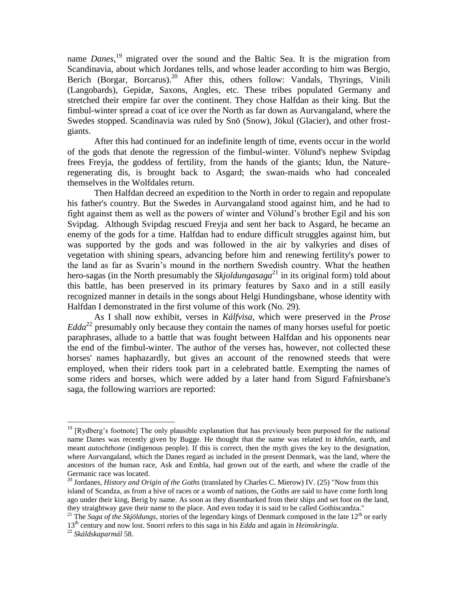name *Danes*, <sup>19</sup> migrated over the sound and the Baltic Sea. It is the migration from Scandinavia, about which Jordanes tells, and whose leader according to him was Bergio, Berich (Borgar, Borcarus).<sup>20</sup> After this, others follow: Vandals, Thyrings, Vinili (Langobards), Gepidæ, Saxons, Angles, etc. These tribes populated Germany and stretched their empire far over the continent. They chose Halfdan as their king. But the fimbul-winter spread a coat of ice over the North as far down as Aurvangaland, where the Swedes stopped. Scandinavia was ruled by Snö (Snow), Jökul (Glacier), and other frostgiants.

After this had continued for an indefinite length of time, events occur in the world of the gods that denote the regression of the fimbul-winter. Völund's nephew Svipdag frees Freyja, the goddess of fertility, from the hands of the giants; Idun, the Natureregenerating dis, is brought back to Asgard; the swan-maids who had concealed themselves in the Wolfdales return.

Then Halfdan decreed an expedition to the North in order to regain and repopulate his father's country. But the Swedes in Aurvangaland stood against him, and he had to fight against them as well as the powers of winter and Völund's brother Egil and his son Svipdag. Although Svipdag rescued Freyja and sent her back to Asgard, he became an enemy of the gods for a time. Halfdan had to endure difficult struggles against him, but was supported by the gods and was followed in the air by valkyries and dises of vegetation with shining spears, advancing before him and renewing fertility's power to the land as far as Svarin's mound in the northern Swedish country. What the heathen hero-sagas (in the North presumably the *Skjoldungasaga*<sup>21</sup> in its original form) told about this battle, has been preserved in its primary features by Saxo and in a still easily recognized manner in details in the songs about Helgi Hundingsbane, whose identity with Halfdan I demonstrated in the first volume of this work (No. 29).

As I shall now exhibit, verses in *Kálfvisa*, which were preserved in the *Prose Edda*<sup>22</sup> presumably only because they contain the names of many horses useful for poetic paraphrases, allude to a battle that was fought between Halfdan and his opponents near the end of the fimbul-winter. The author of the verses has, however, not collected these horses' names haphazardly, but gives an account of the renowned steeds that were employed, when their riders took part in a celebrated battle. Exempting the names of some riders and horses, which were added by a later hand from Sigurd Fafnirsbane's saga, the following warriors are reported:

 $19$  [Rydberg's footnote] The only plausible explanation that has previously been purposed for the national name Danes was recently given by Bugge. He thought that the name was related to *khthôn*, earth, and meant *autochthone* (indigenous people)*.* If this is correct, then the myth gives the key to the designation, where Aurvangaland, which the Danes regard as included in the present Denmark, was the land, where the ancestors of the human race, Ask and Embla, had grown out of the earth, and where the cradle of the Germanic race was located.

<sup>20</sup> Jordanes, *History and Origin of the Goths* (translated by Charles C. Mierow) IV. (25) "Now from this island of Scandza, as from a hive of races or a womb of nations, the Goths are said to have come forth long ago under their king, Berig by name. As soon as they disembarked from their ships and set foot on the land, they straightway gave their name to the place. And even today it is said to be called Gothiscandza."

<sup>&</sup>lt;sup>21</sup> The *Saga of the Skjöldungs*, stories of the legendary kings of Denmark composed in the late  $12<sup>th</sup>$  or early 13th century and now lost. Snorri refers to this saga in his *Edda* and again in *Heimskringla*.

<sup>22</sup> *Skáldskaparmál* 58.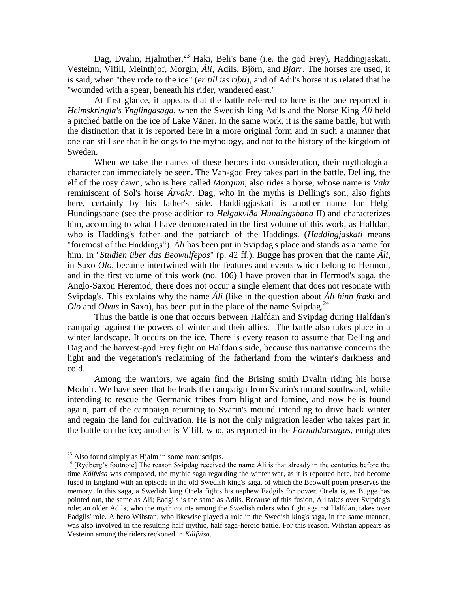Dag, Dvalin, Hjalmther, $^{23}$  Haki, Beli's bane (i.e. the god Frey), Haddingjaskati, Vesteinn, Vifill, Meinthjof, Morgin, *Áli,* Adils, Björn, and *Bjarr*. The horses are used, it is said, when "they rode to the ice" (*er till iss riþu*), and of Adil's horse it is related that he "wounded with a spear, beneath his rider, wandered east."

At first glance, it appears that the battle referred to here is the one reported in *Heimskringla's Ynglingasaga,* when the Swedish king Adils and the Norse King *Áli* held a pitched battle on the ice of Lake Väner. In the same work, it is the same battle, but with the distinction that it is reported here in a more original form and in such a manner that one can still see that it belongs to the mythology, and not to the history of the kingdom of Sweden.

When we take the names of these heroes into consideration, their mythological character can immediately be seen. The Van-god Frey takes part in the battle. Delling, the elf of the rosy dawn, who is here called *Morginn*, also rides a horse, whose name is *Vakr* reminiscent of Sol's horse *Árvakr*. Dag, who in the myths is Delling's son, also fights here, certainly by his father's side. Haddingjaskati is another name for Helgi Hundingsbane (see the prose addition to *Helgakviða Hundingsbana* II) and characterizes him, according to what I have demonstrated in the first volume of this work, as Halfdan, who is Hadding's father and the patriarch of the Haddings. (*Haddingjaskati* means "foremost of the Haddings"). *Áli* has been put in Svipdag's place and stands as a name for him. In "*Studien über das Beowulfepos*" (p. 42 ff.), Bugge has proven that the name *Áli,* in Saxo *Olo,* became intertwined with the features and events which belong to Hermod, and in the first volume of this work (no. 106) I have proven that in Hermod's saga, the Anglo-Saxon Heremod, there does not occur a single element that does not resonate with Svipdag's. This explains why the name *Áli* (like in the question about *Áli hinn fræki* and *Olo* and *Olvus* in Saxo), has been put in the place of the name Svipdag.<sup>24</sup>

Thus the battle is one that occurs between Halfdan and Svipdag during Halfdan's campaign against the powers of winter and their allies. The battle also takes place in a winter landscape. It occurs on the ice. There is every reason to assume that Delling and Dag and the harvest-god Frey fight on Halfdan's side, because this narrative concerns the light and the vegetation's reclaiming of the fatherland from the winter's darkness and cold.

Among the warriors, we again find the Brising smith Dvalin riding his horse Modnir. We have seen that he leads the campaign from Svarin's mound southward, while intending to rescue the Germanic tribes from blight and famine, and now he is found again, part of the campaign returning to Svarin's mound intending to drive back winter and regain the land for cultivation. He is not the only migration leader who takes part in the battle on the ice; another is Vifill, who, as reported in the *Fornaldarsagas*, emigrates

 $^{23}$  Also found simply as Hjalm in some manuscripts.

<sup>&</sup>lt;sup>24</sup> [Rydberg's footnote] The reason Svipdag received the name Ali is that already in the centuries before the time *Kálfvisa* was composed, the mythic saga regarding the winter war, as it is reported here, had become fused in England with an episode in the old Swedish king's saga, of which the Beowulf poem preserves the memory. In this saga, a Swedish king Onela fights his nephew Eadgils for power. Onela is, as Bugge has pointed out, the same as Áli; Eadgils is the same as Adils. Because of this fusion, Áli takes over Svipdag's role; an older Adils, who the myth counts among the Swedish rulers who fight against Halfdan, takes over Eadgils' role. A hero Wihstan, who likewise played a role in the Swedish king's saga, in the same manner, was also involved in the resulting half mythic, half saga-heroic battle. For this reason, Wihstan appears as Vesteinn among the riders reckoned in *Kálfvisa*.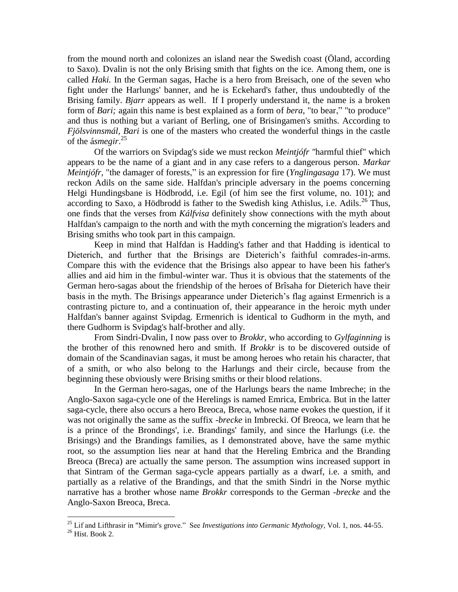from the mound north and colonizes an island near the Swedish coast (Öland, according to Saxo). Dvalin is not the only Brising smith that fights on the ice. Among them, one is called *Haki.* In the German sagas, Hache is a hero from Breisach, one of the seven who fight under the Harlungs' banner, and he is Eckehard's father, thus undoubtedly of the Brising family. *Bjarr* appears as well. If I properly understand it, the name is a broken form of *Bari;* again this name is best explained as a form of *bera*, "to bear," "to produce" and thus is nothing but a variant of Berling, one of Brisingamen's smiths. According to *Fjölsvinnsmál, Bari* is one of the masters who created the wonderful things in the castle of the á*smegir*. 25

Of the warriors on Svipdag's side we must reckon *Meintjófr "*harmful thief" which appears to be the name of a giant and in any case refers to a dangerous person. *Markar Meintjófr,* "the damager of forests," is an expression for fire (*Ynglingasaga* 17). We must reckon Adils on the same side. Halfdan's principle adversary in the poems concerning Helgi Hundingsbane is Hödbrodd, i.e. Egil (of him see the first volume, no. 101); and according to Saxo, a Hödbrodd is father to the Swedish king Athislus, i.e. Adils.<sup>26</sup> Thus, one finds that the verses from *Kálfvisa* definitely show connections with the myth about Halfdan's campaign to the north and with the myth concerning the migration's leaders and Brising smiths who took part in this campaign.

Keep in mind that Halfdan is Hadding's father and that Hadding is identical to Dieterich, and further that the Brisings are Dieterich's faithful comrades-in-arms. Compare this with the evidence that the Brisings also appear to have been his father's allies and aid him in the fimbul-winter war. Thus it is obvious that the statements of the German hero-sagas about the friendship of the heroes of Brîsaha for Dieterich have their basis in the myth. The Brisings appearance under Dieterich's flag against Ermenrich is a contrasting picture to, and a continuation of, their appearance in the heroic myth under Halfdan's banner against Svipdag. Ermenrich is identical to Gudhorm in the myth, and there Gudhorm is Svipdag's half-brother and ally.

From Sindri-Dvalin, I now pass over to *Brokkr*, who according to *Gylfaginning* is the brother of this renowned hero and smith. If *Brokkr* is to be discovered outside of domain of the Scandinavian sagas, it must be among heroes who retain his character, that of a smith, or who also belong to the Harlungs and their circle, because from the beginning these obviously were Brising smiths or their blood relations.

In the German hero-sagas, one of the Harlungs bears the name Imbreche; in the Anglo-Saxon saga-cycle one of the Herelings is named Emrica, Embrica. But in the latter saga-cycle, there also occurs a hero Breoca, Breca, whose name evokes the question, if it was not originally the same as the suffix -*brecke* in Imbrecki. Of Breoca, we learn that he is a prince of the Brondings', i.e. Brandings' family, and since the Harlungs (i.e. the Brisings) and the Brandings families, as I demonstrated above, have the same mythic root, so the assumption lies near at hand that the Hereling Embrica and the Branding Breoca (Breca) are actually the same person. The assumption wins increased support in that Sintram of the German saga-cycle appears partially as a dwarf, i.e. a smith, and partially as a relative of the Brandings, and that the smith Sindri in the Norse mythic narrative has a brother whose name *Brokkr* corresponds to the German -*brecke* and the Anglo-Saxon Breoca, Breca.

<sup>25</sup> Lif and Lifthrasir in "Mimir's grove." See *Investigations into Germanic Mythology*, Vol. 1, nos. 44-55.

 $26$  Hist. Book 2.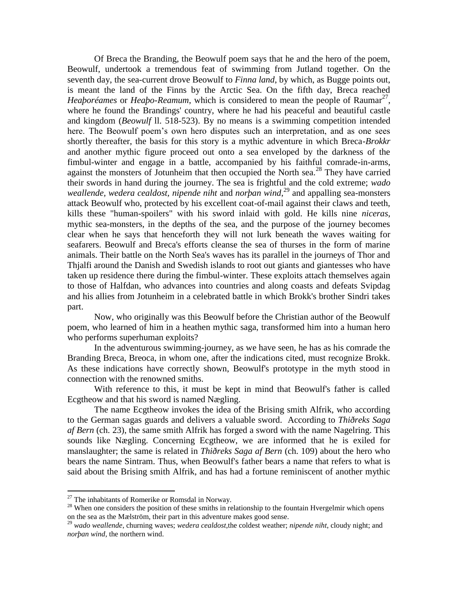Of Breca the Branding, the Beowulf poem says that he and the hero of the poem, Beowulf, undertook a tremendous feat of swimming from Jutland together. On the seventh day, the sea-current drove Beowulf to *Finna land*, by which, as Bugge points out, is meant the land of the Finns by the Arctic Sea. On the fifth day, Breca reached *Heaþoréames* or *Heaþo-Reamum*, which is considered to mean the people of Raumar<sup>27</sup>, where he found the Brandings' country, where he had his peaceful and beautiful castle and kingdom (*Beowulf* ll. 518-523). By no means is a swimming competition intended here. The Beowulf poem's own hero disputes such an interpretation, and as one sees shortly thereafter, the basis for this story is a mythic adventure in which Breca-*Brokkr* and another mythic figure proceed out onto a sea enveloped by the darkness of the fimbul-winter and engage in a battle, accompanied by his faithful comrade-in-arms, against the monsters of Jotunheim that then occupied the North sea.<sup>28</sup> They have carried their swords in hand during the journey. The sea is frightful and the cold extreme; *wado weallende, wedera cealdost, nipende niht* and *norþan wind*, <sup>29</sup> and appalling sea-monsters attack Beowulf who, protected by his excellent coat-of-mail against their claws and teeth, kills these "human-spoilers" with his sword inlaid with gold. He kills nine *niceras*, mythic sea-monsters, in the depths of the sea, and the purpose of the journey becomes clear when he says that henceforth they will not lurk beneath the waves waiting for seafarers. Beowulf and Breca's efforts cleanse the sea of thurses in the form of marine animals. Their battle on the North Sea's waves has its parallel in the journeys of Thor and Thjalfi around the Danish and Swedish islands to root out giants and giantesses who have taken up residence there during the fimbul-winter. These exploits attach themselves again to those of Halfdan, who advances into countries and along coasts and defeats Svipdag and his allies from Jotunheim in a celebrated battle in which Brokk's brother Sindri takes part.

Now, who originally was this Beowulf before the Christian author of the Beowulf poem, who learned of him in a heathen mythic saga, transformed him into a human hero who performs superhuman exploits?

In the adventurous swimming-journey, as we have seen, he has as his comrade the Branding Breca, Breoca, in whom one, after the indications cited, must recognize Brokk. As these indications have correctly shown, Beowulf's prototype in the myth stood in connection with the renowned smiths.

With reference to this, it must be kept in mind that Beowulf's father is called Ecgtheow and that his sword is named Nægling.

The name Ecgtheow invokes the idea of the Brising smith Alfrik, who according to the German sagas guards and delivers a valuable sword. According to *Thiðreks Saga af Bern* (ch. 23), the same smith Alfrik has forged a sword with the name Nagelring. This sounds like Nægling. Concerning Ecgtheow, we are informed that he is exiled for manslaughter; the same is related in *Thiðreks Saga af Bern* (ch. 109) about the hero who bears the name Sintram. Thus, when Beowulf's father bears a name that refers to what is said about the Brising smith Alfrik, and has had a fortune reminiscent of another mythic

 $27$  The inhabitants of Romerike or Romsdal in Norway.

<sup>&</sup>lt;sup>28</sup> When one considers the position of these smiths in relationship to the fountain Hvergelmir which opens on the sea as the Mælström, their part in this adventure makes good sense.

<sup>29</sup> *wado weallende*, churning waves; *wedera cealdost*,the coldest weather; *nipende niht*, cloudy night; and *norþan wind*, the northern wind.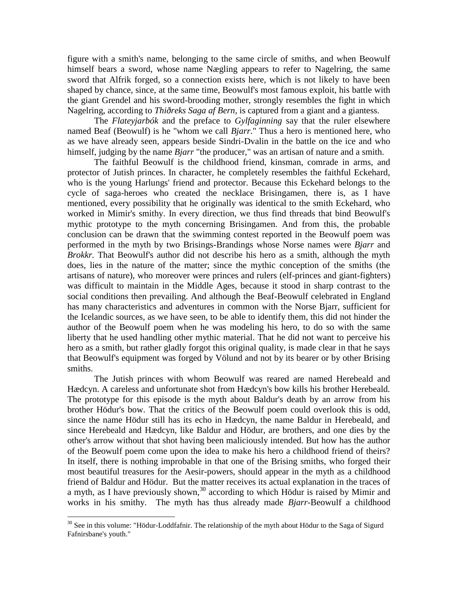figure with a smith's name, belonging to the same circle of smiths, and when Beowulf himself bears a sword, whose name Nægling appears to refer to Nagelring, the same sword that Alfrik forged, so a connection exists here, which is not likely to have been shaped by chance, since, at the same time, Beowulf's most famous exploit, his battle with the giant Grendel and his sword-brooding mother, strongly resembles the fight in which Nagelring, according to *Thiðreks Saga af Bern,* is captured from a giant and a giantess.

The *Flateyjarbók* and the preface to *Gylfaginning* say that the ruler elsewhere named Beaf (Beowulf) is he "whom we call *Bjarr*." Thus a hero is mentioned here, who as we have already seen, appears beside Sindri-Dvalin in the battle on the ice and who himself, judging by the name *Bjarr* "the producer," was an artisan of nature and a smith.

The faithful Beowulf is the childhood friend, kinsman, comrade in arms, and protector of Jutish princes. In character, he completely resembles the faithful Eckehard, who is the young Harlungs' friend and protector. Because this Eckehard belongs to the cycle of saga-heroes who created the necklace Brisingamen, there is, as I have mentioned, every possibility that he originally was identical to the smith Eckehard, who worked in Mimir's smithy. In every direction, we thus find threads that bind Beowulf's mythic prototype to the myth concerning Brisingamen. And from this, the probable conclusion can be drawn that the swimming contest reported in the Beowulf poem was performed in the myth by two Brisings-Brandings whose Norse names were *Bjarr* and *Brokkr.* That Beowulf's author did not describe his hero as a smith, although the myth does, lies in the nature of the matter; since the mythic conception of the smiths (the artisans of nature), who moreover were princes and rulers (elf-princes and giant-fighters) was difficult to maintain in the Middle Ages, because it stood in sharp contrast to the social conditions then prevailing. And although the Beaf-Beowulf celebrated in England has many characteristics and adventures in common with the Norse Bjarr, sufficient for the Icelandic sources, as we have seen, to be able to identify them, this did not hinder the author of the Beowulf poem when he was modeling his hero, to do so with the same liberty that he used handling other mythic material. That he did not want to perceive his hero as a smith, but rather gladly forgot this original quality, is made clear in that he says that Beowulf's equipment was forged by Völund and not by its bearer or by other Brising smiths.

The Jutish princes with whom Beowulf was reared are named Herebeald and Hædcyn. A careless and unfortunate shot from Hædcyn's bow kills his brother Herebeald. The prototype for this episode is the myth about Baldur's death by an arrow from his brother Hödur's bow. That the critics of the Beowulf poem could overlook this is odd, since the name Hödur still has its echo in Hædcyn, the name Baldur in Herebeald, and since Herebeald and Hædcyn, like Baldur and Hödur, are brothers, and one dies by the other's arrow without that shot having been maliciously intended. But how has the author of the Beowulf poem come upon the idea to make his hero a childhood friend of theirs? In itself, there is nothing improbable in that one of the Brising smiths, who forged their most beautiful treasures for the Aesir-powers, should appear in the myth as a childhood friend of Baldur and Hödur. But the matter receives its actual explanation in the traces of a myth, as I have previously shown,<sup>30</sup> according to which Hödur is raised by Mimir and works in his smithy. The myth has thus already made *Bjarr*-Beowulf a childhood

 $30$  See in this volume: "Hödur-Loddfafnir. The relationship of the myth about Hödur to the Saga of Sigurd Fafnirsbane's youth."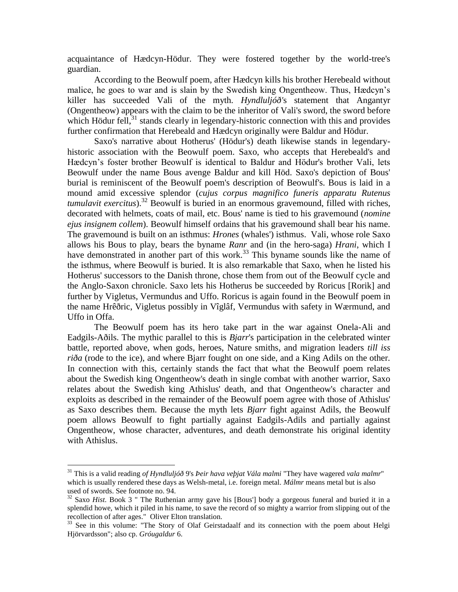acquaintance of Hædcyn-Hödur. They were fostered together by the world-tree's guardian.

According to the Beowulf poem, after Hædcyn kills his brother Herebeald without malice, he goes to war and is slain by the Swedish king Ongentheow. Thus, Hædcyn's killer has succeeded Vali of the myth. *Hyndluljóð'*s statement that Angantyr (Ongentheow) appears with the claim to be the inheritor of Vali's sword, the sword before which Hödur fell, $31$  stands clearly in legendary-historic connection with this and provides further confirmation that Herebeald and Hædcyn originally were Baldur and Hödur.

Saxo's narrative about Hotherus' (Hödur's) death likewise stands in legendaryhistoric association with the Beowulf poem. Saxo, who accepts that Herebeald's and Hædcyn's foster brother Beowulf is identical to Baldur and Hödur's brother Vali, lets Beowulf under the name Bous avenge Baldur and kill Höd. Saxo's depiction of Bous' burial is reminiscent of the Beowulf poem's description of Beowulf's. Bous is laid in a mound amid excessive splendor (*cujus corpus magnifico funeris apparatu Rutenus tumulavit exercitus*).<sup>32</sup> Beowulf is buried in an enormous gravemound, filled with riches, decorated with helmets, coats of mail, etc. Bous' name is tied to his gravemound (*nomine ejus insignem collem*). Beowulf himself ordains that his gravemound shall bear his name. The gravemound is built on an isthmus: *Hrones* (whales') isthmus. Vali, whose role Saxo allows his Bous to play, bears the byname *Ranr* and (in the hero-saga) *Hrani*, which I have demonstrated in another part of this work.<sup>33</sup> This byname sounds like the name of the isthmus, where Beowulf is buried. It is also remarkable that Saxo, when he listed his Hotherus' successors to the Danish throne, chose them from out of the Beowulf cycle and the Anglo-Saxon chronicle. Saxo lets his Hotherus be succeeded by Roricus [Rorik] and further by Vigletus, Vermundus and Uffo. Roricus is again found in the Beowulf poem in the name Hrêðric, Vigletus possibly in Vîglâf, Vermundus with safety in Wærmund, and Uffo in Offa.

The Beowulf poem has its hero take part in the war against Onela-Ali and Eadgils-Aðils. The mythic parallel to this is *Bjarr*'s participation in the celebrated winter battle, reported above, when gods, heroes, Nature smiths, and migration leaders *till iss riða* (rode to the ice), and where Bjarr fought on one side, and a King Adils on the other. In connection with this, certainly stands the fact that what the Beowulf poem relates about the Swedish king Ongentheow's death in single combat with another warrior, Saxo relates about the Swedish king Athislus' death, and that Ongentheow's character and exploits as described in the remainder of the Beowulf poem agree with those of Athislus' as Saxo describes them. Because the myth lets *Bjarr* fight against Adils, the Beowulf poem allows Beowulf to fight partially against Eadgils-Adils and partially against Ongentheow, whose character, adventures, and death demonstrate his original identity with Athislus.

<sup>31</sup> This is a valid reading *of Hyndluljóð* 9's *Þeir hava veþjat Vála malmi* "They have wagered *vala malmr*" which is usually rendered these days as Welsh-metal, i.e. foreign metal. *Málmr* means metal but is also used of swords. See footnote no. 94.

<sup>&</sup>lt;sup>32</sup> Saxo *Hist*. Book 3 " The Ruthenian army gave his [Bous'] body a gorgeous funeral and buried it in a splendid howe, which it piled in his name, to save the record of so mighty a warrior from slipping out of the recollection of after ages." Oliver Elton translation.

<sup>&</sup>lt;sup>33</sup> See in this volume: "The Story of Olaf Geirstadaalf and its connection with the poem about Helgi Hjörvardsson"; also cp. *Gróugaldur* 6.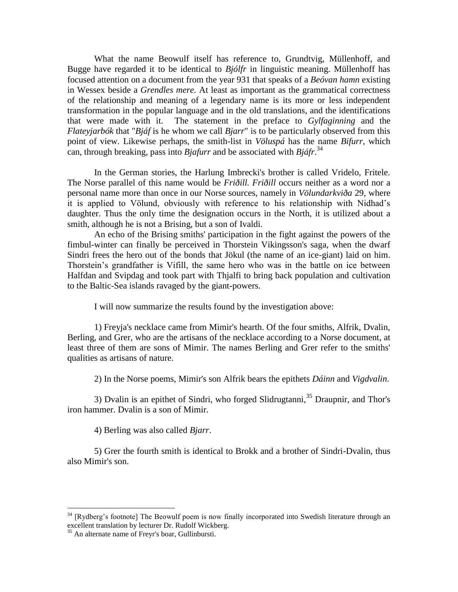What the name Beowulf itself has reference to, Grundtvig, Müllenhoff, and Bugge have regarded it to be identical to *Bjólfr* in linguistic meaning. Müllenhoff has focused attention on a document from the year 931 that speaks of a *Beóvan hamn* existing in Wessex beside a *Grendles mere.* At least as important as the grammatical correctness of the relationship and meaning of a legendary name is its more or less independent transformation in the popular language and in the old translations, and the identifications that were made with it. The statement in the preface to *Gylfaginning* and the *Flateyjarbók* that "*Bjáf* is he whom we call *Bjarr*" is to be particularly observed from this point of view. Likewise perhaps, the smith-list in *Völuspá* has the name *Bifurr*, which can, through breaking, pass into *Bjafurr* and be associated with *Bjáfr*. 34

In the German stories, the Harlung Imbrecki's brother is called Vridelo, Fritele. The Norse parallel of this name would be *Friðill. Friðill* occurs neither as a word nor a personal name more than once in our Norse sources, namely in *Völundarkviða* 29, where it is applied to Völund, obviously with reference to his relationship with Nidhad's daughter. Thus the only time the designation occurs in the North, it is utilized about a smith, although he is not a Brising, but a son of Ivaldi.

An echo of the Brising smiths' participation in the fight against the powers of the fimbul-winter can finally be perceived in Thorstein Vikingsson's saga, when the dwarf Sindri frees the hero out of the bonds that Jökul (the name of an ice-giant) laid on him. Thorstein's grandfather is Vifill, the same hero who was in the battle on ice between Halfdan and Svipdag and took part with Thjalfi to bring back population and cultivation to the Baltic-Sea islands ravaged by the giant-powers.

I will now summarize the results found by the investigation above:

1) Freyja's necklace came from Mimir's hearth. Of the four smiths, Alfrik, Dvalin, Berling, and Grer, who are the artisans of the necklace according to a Norse document, at least three of them are sons of Mimir. The names Berling and Grer refer to the smiths' qualities as artisans of nature.

2) In the Norse poems, Mimir's son Alfrik bears the epithets *Dáinn* and *Vigdvalin*.

3) Dvalin is an epithet of Sindri, who forged Slidrugtanni,<sup>35</sup> Draupnir, and Thor's iron hammer. Dvalin is a son of Mimir.

4) Berling was also called *Bjarr*.

5) Grer the fourth smith is identical to Brokk and a brother of Sindri-Dvalin, thus also Mimir's son.

<sup>&</sup>lt;sup>34</sup> [Rydberg's footnote] The Beowulf poem is now finally incorporated into Swedish literature through an excellent translation by lecturer Dr. Rudolf Wickberg.

<sup>&</sup>lt;sup>35</sup> An alternate name of Freyr's boar, Gullinbursti.